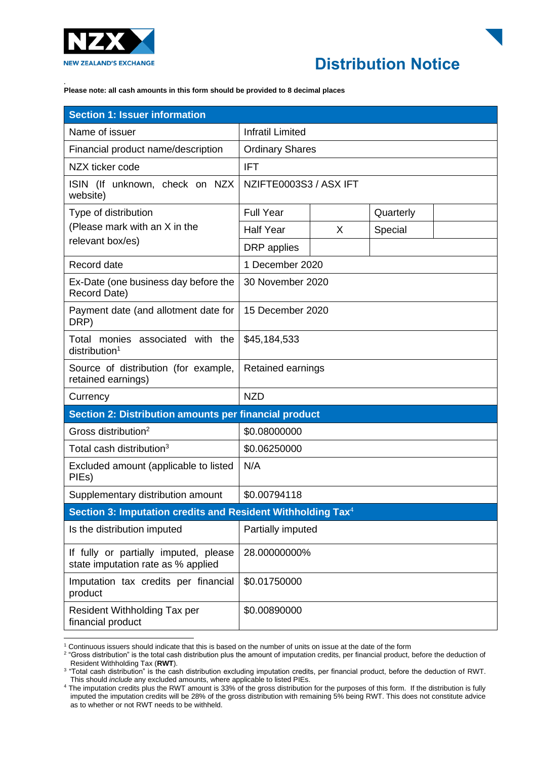

## **Distribution Notice**

*.* **Please note: all cash amounts in this form should be provided to 8 decimal places**

| <b>Section 1: Issuer information</b>                                        |                         |   |           |  |
|-----------------------------------------------------------------------------|-------------------------|---|-----------|--|
| Name of issuer                                                              | <b>Infratil Limited</b> |   |           |  |
| Financial product name/description                                          | <b>Ordinary Shares</b>  |   |           |  |
| NZX ticker code                                                             | <b>IFT</b>              |   |           |  |
| ISIN (If unknown, check on NZX<br>website)                                  | NZIFTE0003S3 / ASX IFT  |   |           |  |
| Type of distribution<br>(Please mark with an X in the<br>relevant box/es)   | <b>Full Year</b>        |   | Quarterly |  |
|                                                                             | <b>Half Year</b>        | X | Special   |  |
|                                                                             | DRP applies             |   |           |  |
| Record date                                                                 | 1 December 2020         |   |           |  |
| Ex-Date (one business day before the<br>Record Date)                        | 30 November 2020        |   |           |  |
| Payment date (and allotment date for<br>DRP)                                | 15 December 2020        |   |           |  |
| Total monies associated with the<br>distribution <sup>1</sup>               | \$45,184,533            |   |           |  |
| Source of distribution (for example,<br>retained earnings)                  | Retained earnings       |   |           |  |
| Currency                                                                    | <b>NZD</b>              |   |           |  |
| Section 2: Distribution amounts per financial product                       |                         |   |           |  |
| Gross distribution <sup>2</sup>                                             | \$0.08000000            |   |           |  |
| Total cash distribution <sup>3</sup>                                        | \$0.06250000            |   |           |  |
| Excluded amount (applicable to listed<br>PIEs)                              | N/A                     |   |           |  |
| Supplementary distribution amount                                           | \$0.00794118            |   |           |  |
| Section 3: Imputation credits and Resident Withholding Tax <sup>4</sup>     |                         |   |           |  |
| Is the distribution imputed                                                 | Partially imputed       |   |           |  |
| If fully or partially imputed, please<br>state imputation rate as % applied | 28.00000000%            |   |           |  |
| Imputation tax credits per financial<br>product                             | \$0.01750000            |   |           |  |
| Resident Withholding Tax per<br>financial product                           | \$0.00890000            |   |           |  |

<sup>1</sup> Continuous issuers should indicate that this is based on the number of units on issue at the date of the form

<sup>&</sup>lt;sup>2</sup> "Gross distribution" is the total cash distribution plus the amount of imputation credits, per financial product, before the deduction of Resident Withholding Tax (**RWT**).

<sup>3</sup> "Total cash distribution" is the cash distribution excluding imputation credits, per financial product, before the deduction of RWT. This should *include* any excluded amounts, where applicable to listed PIEs.

<sup>&</sup>lt;sup>4</sup> The imputation credits plus the RWT amount is 33% of the gross distribution for the purposes of this form. If the distribution is fully imputed the imputation credits will be 28% of the gross distribution with remaining 5% being RWT. This does not constitute advice as to whether or not RWT needs to be withheld.